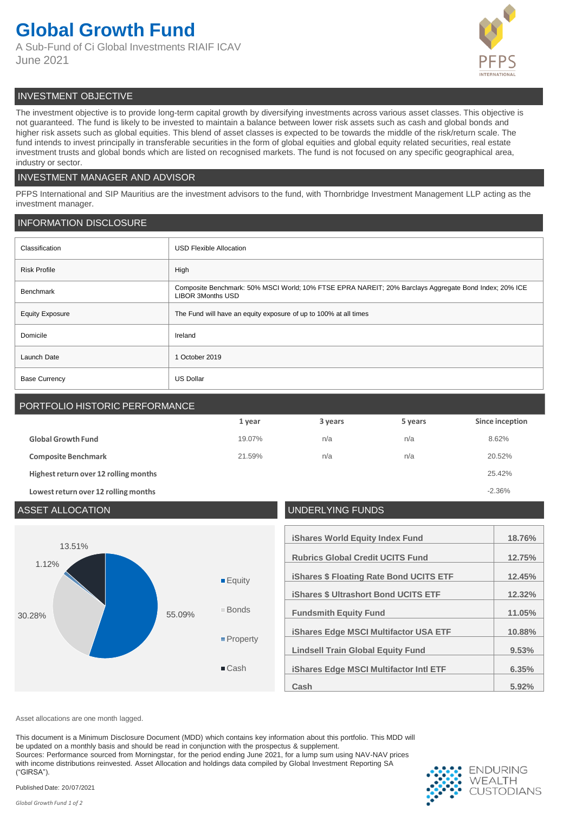# **Global Growth Fund**

A Sub-Fund of Ci Global Investments RIAIF ICAV June 2021



# INVESTMENT OBJECTIVE

The investment objective is to provide long-term capital growth by diversifying investments across various asset classes. This objective is not guaranteed. The fund is likely to be invested to maintain a balance between lower risk assets such as cash and global bonds and higher risk assets such as global equities. This blend of asset classes is expected to be towards the middle of the risk/return scale. The fund intends to invest principally in transferable securities in the form of global equities and global equity related securities, real estate investment trusts and global bonds which are listed on recognised markets. The fund is not focused on any specific geographical area, industry or sector.

# INVESTMENT MANAGER AND ADVISOR

PFPS International and SIP Mauritius are the investment advisors to the fund, with Thornbridge Investment Management LLP acting as the investment manager.

### INFORMATION DISCLOSURE

| Classification         | <b>USD Flexible Allocation</b>                                                                                                    |
|------------------------|-----------------------------------------------------------------------------------------------------------------------------------|
| <b>Risk Profile</b>    | High                                                                                                                              |
| <b>Benchmark</b>       | Composite Benchmark: 50% MSCI World; 10% FTSE EPRA NAREIT; 20% Barclays Aggregate Bond Index; 20% ICE<br><b>LIBOR 3Months USD</b> |
| <b>Equity Exposure</b> | The Fund will have an equity exposure of up to 100% at all times                                                                  |
| Domicile               | Ireland                                                                                                                           |
| Launch Date            | 1 October 2019                                                                                                                    |
| <b>Base Currency</b>   | <b>US Dollar</b>                                                                                                                  |

# PORTFOLIO HISTORIC PERFORMANCE

|                                       | 1 year | 3 years | 5 years | Since inception |
|---------------------------------------|--------|---------|---------|-----------------|
| <b>Global Growth Fund</b>             | 19.07% | n/a     | n/a     | 8.62%           |
| <b>Composite Benchmark</b>            | 21.59% | n/a     | n/a     | 20.52%          |
| Highest return over 12 rolling months |        |         |         | 25.42%          |
| Lowest return over 12 rolling months  |        |         |         | $-2.36%$        |

# ASSET ALLOCATION UNDERLYING FUNDS **iShares World Equity Index Fund 18.76% Rubrics Global Credit UCITS Fund 12.75% iShares \$ Floating Rate Bond UCITS ETF 12.45% iShares \$ Ultrashort Bond UCITS ETF 12.32% Fundsmith Equity Fund 11.05% iShares Edge MSCI Multifactor USA ETF 10.88% Lindsell Train Global Equity Fund 9.53% iShares Edge MSCI Multifactor Intl ETF 6.35% Cash 5.92%** 30.28% 55.09% 1.12% 13.51% **Equity** Bonds **Property** ■Cash

Asset allocations are one month lagged.

This document is a Minimum Disclosure Document (MDD) which contains key information about this portfolio. This MDD will be updated on a monthly basis and should be read in conjunction with the prospectus & supplement. Sources: Performance sourced from Morningstar, for the period ending June 2021, for a lump sum using NAV-NAV prices with income distributions reinvested. Asset Allocation and holdings data compiled by Global Investment Reporting SA ("GIRSA").



Published Date: 20/07/2021